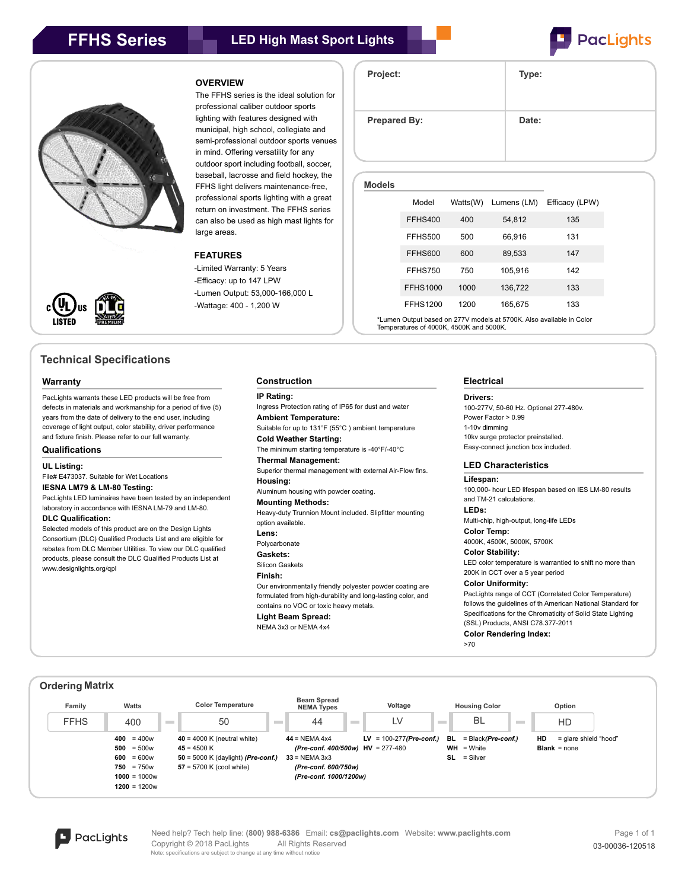





# **Technical Specifications**

## **Warranty**

PacLights warrants these LED products will be free from defects in materials and workmanship for a period of five (5) years from the date of delivery to the end user, including coverage of light output, color stability, driver performance and fixture finish. Please refer to our full warranty.

# **Qualifications**

**UL Listing:**

## File# E473037. Suitable for Wet Locations **IESNA LM79 & LM-80 Testing:**

PacLights LED luminaires have been tested by an independent laboratory in accordance with IESNA LM-79 and LM-80.

# **DLC Qualification:**

Selected models of this product are on the Design Lights Consortium (DLC) Qualified Products List and are eligible for rebates from DLC Member Utilities. To view our DLC qualified products, please consult the DLC Qualified Products List at www.designlights.org/qpl

# **OVERVIEW**

The FFHS series is the ideal solution for professional caliber outdoor sports lighting with features designed with municipal, high school, collegiate and semi-professional outdoor sports venues in mind. Offering versatility for any outdoor sport including football, soccer, baseball, lacrosse and field hockey, the FFHS light delivers maintenance-free, professional sports lighting with a great return on investment. The FFHS series can also be used as high mast lights for large areas.

# **FEATURES**

-Limited Warranty: 5 Years -Efficacy: up to 147 LPW -Lumen Output: 53,000-166,000 L -Wattage: 400 - 1,200 W

#### **IP Rating:**

Ingress Protection rating of IP65 for dust and water **Ambient Temperature:** Suitable for up to 131°F (55°C ) ambient temperature **Cold Weather Starting:** The minimum starting temperature is -40°F/-40°C **Thermal Management:** Superior thermal management with external Air-Flow fins. **Housing:** Aluminum housing with powder coating. **Mounting Methods:** Heavy-duty Trunnion Mount included. Slipfitter mounting option available. **Lens:** Polycarbonate **Gaskets:** Silicon Gaskets

# **Finish:**

Our environmentally friendly polyester powder coating are formulated from high-durability and long-lasting color, and contains no VOC or toxic heavy metals.

**Light Beam Spread:** NEMA 3x3 or NEMA 4x4

# **Project: Type:** Prepared By: **Date:**

**Models**

| ucia |                 |          |             |                |
|------|-----------------|----------|-------------|----------------|
|      | Model           | Watts(W) | Lumens (LM) | Efficacy (LPW) |
|      | FFHS400         | 400      | 54,812      | 135            |
|      | <b>FFHS500</b>  | 500      | 66,916      | 131            |
|      | <b>FFHS600</b>  | 600      | 89,533      | 147            |
|      | <b>FFHS750</b>  | 750      | 105.916     | 142            |
|      | <b>FFHS1000</b> | 1000     | 136,722     | 133            |
|      | <b>FFHS1200</b> | 1200     | 165,675     | 133            |
|      |                 |          |             |                |

Lumen Output based on 277V models at 5700K. Also available in Color Temperatures of 4000K, 4500K and 5000K.

## **Electrical**

### **Drivers:**

100-277V, 50-60 Hz. Optional 277-480v. Power Factor > 0.99 1-10v dimming 10kv surge protector preinstalled. Easy-connect junction box included.

# **LED Characteristics**

**Lifespan:**

100,000- hour LED lifespan based on IES LM-80 results and TM-21 calculations.

**LEDs:**

Multi-chip, high-output, long-life LEDs **Color Temp:**

4000K, 4500K, 5000K, 5700K

## **Color Stability:**

LED color temperature is warrantied to shift no more than 200K in CCT over a 5 year period

### **Color Uniformity:**

PacLights range of CCT (Correlated Color Temperature) follows the guidelines of th American National Standard for Specifications for the Chromaticity of Solid State Lighting (SSL) Products, ANSI C78.377-2011

**Color Rendering Index:**

>70





Need help? Tech help line: **(800) 988-6386** Email: **cs@paclights.com** Website: **www.paclights.com** Copyright © 2018 PacLights All Rights Reserved 63-00036-120518 Note: specifications are subject to change at any time without notice